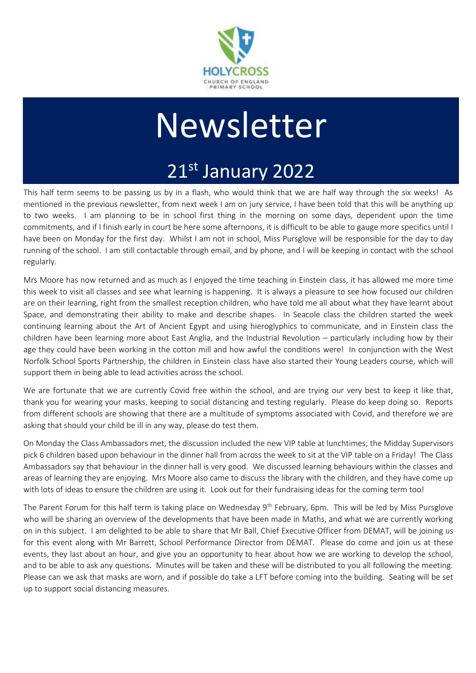

# **Newsletter**

## 21st January 2022

This half term seems to be passing us by in a flash, who would think that we are half way through the six weeks! As mentioned in the previous newsletter, from next week I am on jury service, I have been told that this will be anything up to two weeks. I am planning to be in school first thing in the morning on some days, dependent upon the time commitments, and if I finish early in court be here some afternoons, it is difficult to be able to gauge more specifics until I have been on Monday for the first day. Whilst I am not in school, Miss Pursglove will be responsible for the day to day running of the school. I am still contactable through email, and by phone, and I will be keeping in contact with the school regularly.

Mrs Moore has now returned and as much as I enjoyed the time teaching in Einstein class, it has allowed me more time this week to visit all classes and see what learning is happening. It is always a pleasure to see how focused our children are on their learning, right from the smallest reception children, who have told me all about what they have learnt about Space, and demonstrating their ability to make and describe shapes. In Seacole class the children started the week continuing learning about the Art of Ancient Egypt and using hieroglyphics to communicate, and in Einstein class the children have been learning more about East Anglia, and the Industrial Revolution – particularly including how by their age they could have been working in the cotton mill and how awful the conditions were! In conjunction with the West Norfolk School Sports Partnership, the children in Einstein class have also started their Young Leaders course, which will support them in being able to lead activities across the school.

We are fortunate that we are currently Covid free within the school, and are trying our very best to keep it like that, thank you for wearing your masks, keeping to social distancing and testing regularly. Please do keep doing so. Reports from different schools are showing that there are a multitude of symptoms associated with Covid, and therefore we are asking that should your child be ill in any way, please do test them.

On Monday the Class Ambassadors met, the discussion included the new VIP table at lunchtimes; the Midday Supervisors pick 6 children based upon behaviour in the dinner hall from across the week to sit at the VIP table on a Friday! The Class Ambassadors say that behaviour in the dinner hall is very good. We discussed learning behaviours within the classes and areas of learning they are enjoying. Mrs Moore also came to discuss the library with the children, and they have come up with lots of ideas to ensure the children are using it. Look out for their fundraising ideas for the coming term too!

The Parent Forum for this half term is taking place on Wednesday 9<sup>th</sup> February, 6pm. This will be led by Miss Pursglove who will be sharing an overview of the developments that have been made in Maths, and what we are currently working on in this subject. I am delighted to be able to share that Mr Ball, Chief Executive Officer from DEMAT, will be joining us for this event along with Mr Barrett, School Performance Director from DEMAT. Please do come and join us at these events, they last about an hour, and give you an opportunity to hear about how we are working to develop the school, and to be able to ask any questions. Minutes will be taken and these will be distributed to you all following the meeting. Please can we ask that masks are worn, and if possible do take a LFT before coming into the building. Seating will be set up to support social distancing measures.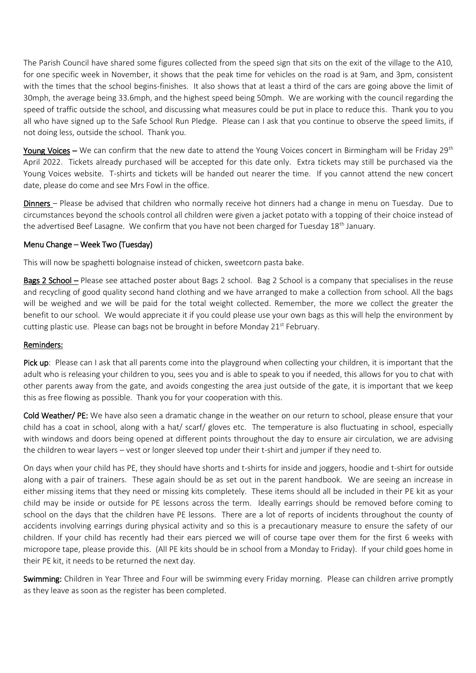The Parish Council have shared some figures collected from the speed sign that sits on the exit of the village to the A10, for one specific week in November, it shows that the peak time for vehicles on the road is at 9am, and 3pm, consistent with the times that the school begins-finishes. It also shows that at least a third of the cars are going above the limit of 30mph, the average being 33.6mph, and the highest speed being 50mph. We are working with the council regarding the speed of traffic outside the school, and discussing what measures could be put in place to reduce this. Thank you to you all who have signed up to the Safe School Run Pledge. Please can I ask that you continue to observe the speed limits, if not doing less, outside the school. Thank you.

Young Voices – We can confirm that the new date to attend the Young Voices concert in Birmingham will be Friday 29<sup>th</sup> April 2022. Tickets already purchased will be accepted for this date only. Extra tickets may still be purchased via the Young Voices website. T-shirts and tickets will be handed out nearer the time. If you cannot attend the new concert date, please do come and see Mrs Fowl in the office.

Dinners – Please be advised that children who normally receive hot dinners had a change in menu on Tuesday. Due to circumstances beyond the schools control all children were given a jacket potato with a topping of their choice instead of the advertised Beef Lasagne. We confirm that you have not been charged for Tuesday  $18<sup>th</sup>$  January.

#### Menu Change – Week Two (Tuesday)

This will now be spaghetti bolognaise instead of chicken, sweetcorn pasta bake.

Bags 2 School – Please see attached poster about Bags 2 school. Bag 2 School is a company that specialises in the reuse and recycling of good quality second hand clothing and we have arranged to make a collection from school. All the bags will be weighed and we will be paid for the total weight collected. Remember, the more we collect the greater the benefit to our school. We would appreciate it if you could please use your own bags as this will help the environment by cutting plastic use. Please can bags not be brought in before Monday 21<sup>st</sup> February.

#### Reminders:

Pick up: Please can I ask that all parents come into the playground when collecting your children, it is important that the adult who is releasing your children to you, sees you and is able to speak to you if needed, this allows for you to chat with other parents away from the gate, and avoids congesting the area just outside of the gate, it is important that we keep this as free flowing as possible. Thank you for your cooperation with this.

Cold Weather/ PE: We have also seen a dramatic change in the weather on our return to school, please ensure that your child has a coat in school, along with a hat/ scarf/ gloves etc. The temperature is also fluctuating in school, especially with windows and doors being opened at different points throughout the day to ensure air circulation, we are advising the children to wear layers – vest or longer sleeved top under their t-shirt and jumper if they need to.

On days when your child has PE, they should have shorts and t-shirts for inside and joggers, hoodie and t-shirt for outside along with a pair of trainers. These again should be as set out in the parent handbook. We are seeing an increase in either missing items that they need or missing kits completely. These items should all be included in their PE kit as your child may be inside or outside for PE lessons across the term. Ideally earrings should be removed before coming to school on the days that the children have PE lessons. There are a lot of reports of incidents throughout the county of accidents involving earrings during physical activity and so this is a precautionary measure to ensure the safety of our children. If your child has recently had their ears pierced we will of course tape over them for the first 6 weeks with micropore tape, please provide this. (All PE kits should be in school from a Monday to Friday). If your child goes home in their PE kit, it needs to be returned the next day.

Swimming: Children in Year Three and Four will be swimming every Friday morning. Please can children arrive promptly as they leave as soon as the register has been completed.